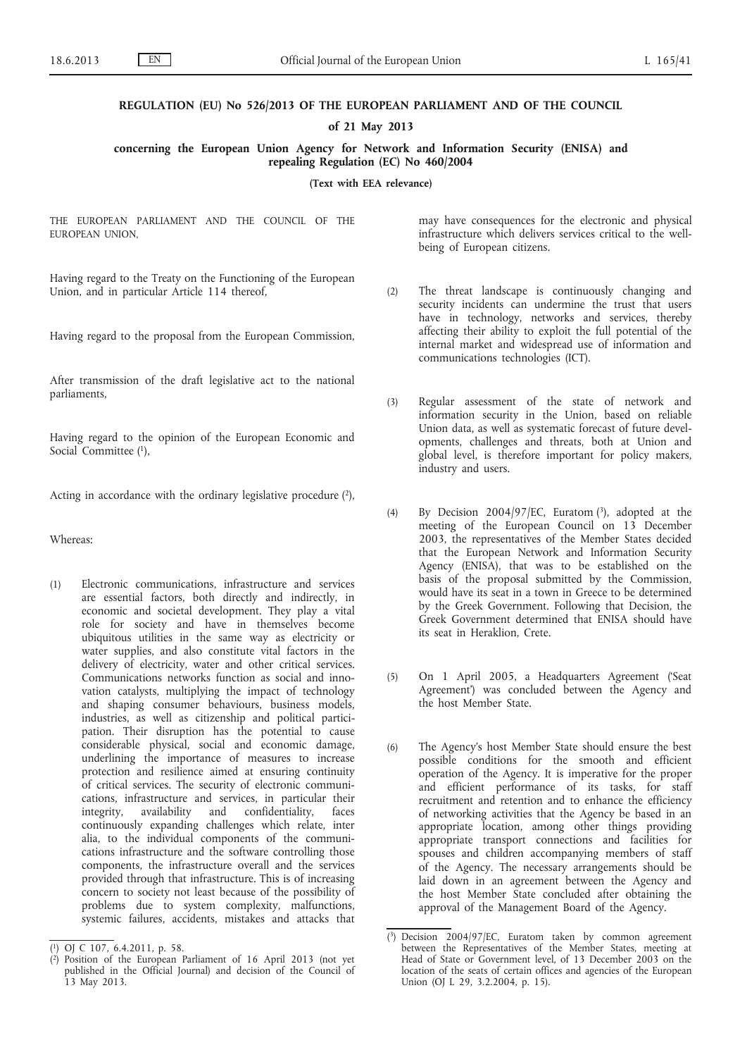#### **REGULATION (EU) No 526/2013 OF THE EUROPEAN PARLIAMENT AND OF THE COUNCIL**

**of 21 May 2013**

**concerning the European Union Agency for Network and Information Security (ENISA) and repealing Regulation (EC) No 460/2004**

**(Text with EEA relevance)**

THE EUROPEAN PARLIAMENT AND THE COUNCIL OF THE EUROPEAN UNION,

Having regard to the Treaty on the Functioning of the European Union, and in particular Article 114 thereof,

Having regard to the proposal from the European Commission,

After transmission of the draft legislative act to the national parliaments,

Having regard to the opinion of the European Economic and Social Committee (1),

Acting in accordance with the ordinary legislative procedure  $(2)$ ,

Whereas:

(1) Electronic communications, infrastructure and services are essential factors, both directly and indirectly, in economic and societal development. They play a vital role for society and have in themselves become ubiquitous utilities in the same way as electricity or water supplies, and also constitute vital factors in the delivery of electricity, water and other critical services. Communications networks function as social and innovation catalysts, multiplying the impact of technology and shaping consumer behaviours, business models, industries, as well as citizenship and political participation. Their disruption has the potential to cause considerable physical, social and economic damage, underlining the importance of measures to increase protection and resilience aimed at ensuring continuity of critical services. The security of electronic communications, infrastructure and services, in particular their integrity, availability and confidentiality, faces continuously expanding challenges which relate, inter alia, to the individual components of the communications infrastructure and the software controlling those components, the infrastructure overall and the services provided through that infrastructure. This is of increasing concern to society not least because of the possibility of problems due to system complexity, malfunctions, systemic failures, accidents, mistakes and attacks that

may have consequences for the electronic and physical infrastructure which delivers services critical to the wellbeing of European citizens.

- (2) The threat landscape is continuously changing and security incidents can undermine the trust that users have in technology, networks and services, thereby affecting their ability to exploit the full potential of the internal market and widespread use of information and communications technologies (ICT).
- (3) Regular assessment of the state of network and information security in the Union, based on reliable Union data, as well as systematic forecast of future developments, challenges and threats, both at Union and global level, is therefore important for policy makers, industry and users.
- (4) By Decision 2004/97/EC, Euratom  $(3)$ , adopted at the meeting of the European Council on 13 December 2003, the representatives of the Member States decided that the European Network and Information Security Agency (ENISA), that was to be established on the basis of the proposal submitted by the Commission, would have its seat in a town in Greece to be determined by the Greek Government. Following that Decision, the Greek Government determined that ENISA should have its seat in Heraklion, Crete.
- (5) On 1 April 2005, a Headquarters Agreement ('Seat Agreement') was concluded between the Agency and the host Member State.
- (6) The Agency's host Member State should ensure the best possible conditions for the smooth and efficient operation of the Agency. It is imperative for the proper and efficient performance of its tasks, for staff recruitment and retention and to enhance the efficiency of networking activities that the Agency be based in an appropriate location, among other things providing appropriate transport connections and facilities for spouses and children accompanying members of staff of the Agency. The necessary arrangements should be laid down in an agreement between the Agency and the host Member State concluded after obtaining the approval of the Management Board of the Agency.

<sup>(</sup> 1) OJ C 107, 6.4.2011, p. 58.

<sup>(</sup> 2) Position of the European Parliament of 16 April 2013 (not yet published in the Official Journal) and decision of the Council of 13 May 2013.

<sup>(</sup> 3) Decision 2004/97/EC, Euratom taken by common agreement between the Representatives of the Member States, meeting at Head of State or Government level, of 13 December 2003 on the location of the seats of certain offices and agencies of the European Union (OJ L 29, 3.2.2004, p. 15).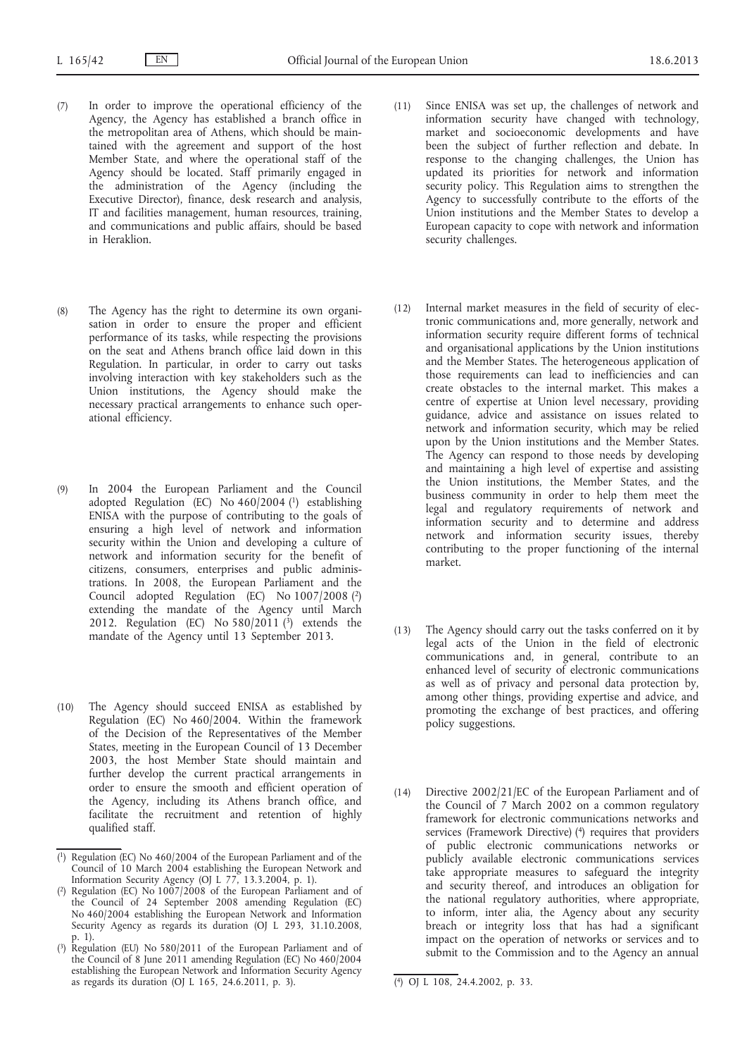- (7) In order to improve the operational efficiency of the Agency, the Agency has established a branch office in the metropolitan area of Athens, which should be maintained with the agreement and support of the host Member State, and where the operational staff of the Agency should be located. Staff primarily engaged in the administration of the Agency (including the Executive Director), finance, desk research and analysis, IT and facilities management, human resources, training, and communications and public affairs, should be based in Heraklion.
- (8) The Agency has the right to determine its own organisation in order to ensure the proper and efficient performance of its tasks, while respecting the provisions on the seat and Athens branch office laid down in this Regulation. In particular, in order to carry out tasks involving interaction with key stakeholders such as the Union institutions, the Agency should make the necessary practical arrangements to enhance such operational efficiency.
- (9) In 2004 the European Parliament and the Council adopted Regulation (EC) No 460/2004 (1) establishing ENISA with the purpose of contributing to the goals of ensuring a high level of network and information security within the Union and developing a culture of network and information security for the benefit of citizens, consumers, enterprises and public administrations. In 2008, the European Parliament and the Council adopted Regulation (EC) No 1007/2008 (2) extending the mandate of the Agency until March 2012. Regulation (EC) No  $580/2011$  (3) extends the mandate of the Agency until 13 September 2013.
- (10) The Agency should succeed ENISA as established by Regulation (EC) No 460/2004. Within the framework of the Decision of the Representatives of the Member States, meeting in the European Council of 13 December 2003, the host Member State should maintain and further develop the current practical arrangements in order to ensure the smooth and efficient operation of the Agency, including its Athens branch office, and facilitate the recruitment and retention of highly qualified staff.
- (11) Since ENISA was set up, the challenges of network and information security have changed with technology, market and socioeconomic developments and have been the subject of further reflection and debate. In response to the changing challenges, the Union has updated its priorities for network and information security policy. This Regulation aims to strengthen the Agency to successfully contribute to the efforts of the Union institutions and the Member States to develop a European capacity to cope with network and information security challenges.
- (12) Internal market measures in the field of security of electronic communications and, more generally, network and information security require different forms of technical and organisational applications by the Union institutions and the Member States. The heterogeneous application of those requirements can lead to inefficiencies and can create obstacles to the internal market. This makes a centre of expertise at Union level necessary, providing guidance, advice and assistance on issues related to network and information security, which may be relied upon by the Union institutions and the Member States. The Agency can respond to those needs by developing and maintaining a high level of expertise and assisting the Union institutions, the Member States, and the business community in order to help them meet the legal and regulatory requirements of network and information security and to determine and address network and information security issues, thereby contributing to the proper functioning of the internal market.
- (13) The Agency should carry out the tasks conferred on it by legal acts of the Union in the field of electronic communications and, in general, contribute to an enhanced level of security of electronic communications as well as of privacy and personal data protection by, among other things, providing expertise and advice, and promoting the exchange of best practices, and offering policy suggestions.
- (14) Directive 2002/21/EC of the European Parliament and of the Council of 7 March 2002 on a common regulatory framework for electronic communications networks and services (Framework Directive) (<sup>4</sup>) requires that providers of public electronic communications networks or publicly available electronic communications services take appropriate measures to safeguard the integrity and security thereof, and introduces an obligation for the national regulatory authorities, where appropriate, to inform, inter alia, the Agency about any security breach or integrity loss that has had a significant impact on the operation of networks or services and to submit to the Commission and to the Agency an annual

<sup>(</sup> 1) Regulation (EC) No 460/2004 of the European Parliament and of the Council of 10 March 2004 establishing the European Network and Information Security Agency (OJ L 77, 13.3.2004, p. 1).

<sup>(</sup> 2) Regulation (EC) No 1007/2008 of the European Parliament and of the Council of 24 September 2008 amending Regulation (EC) No 460/2004 establishing the European Network and Information Security Agency as regards its duration (OJ L 293, 31.10.2008, p. 1).

<sup>(</sup> 3) Regulation (EU) No 580/2011 of the European Parliament and of the Council of 8 June 2011 amending Regulation (EC) No 460/2004 establishing the European Network and Information Security Agency as regards its duration (OJ L 165, 24.6.2011, p. 3). (4) OJ L 108, 24.4.2002, p. 33.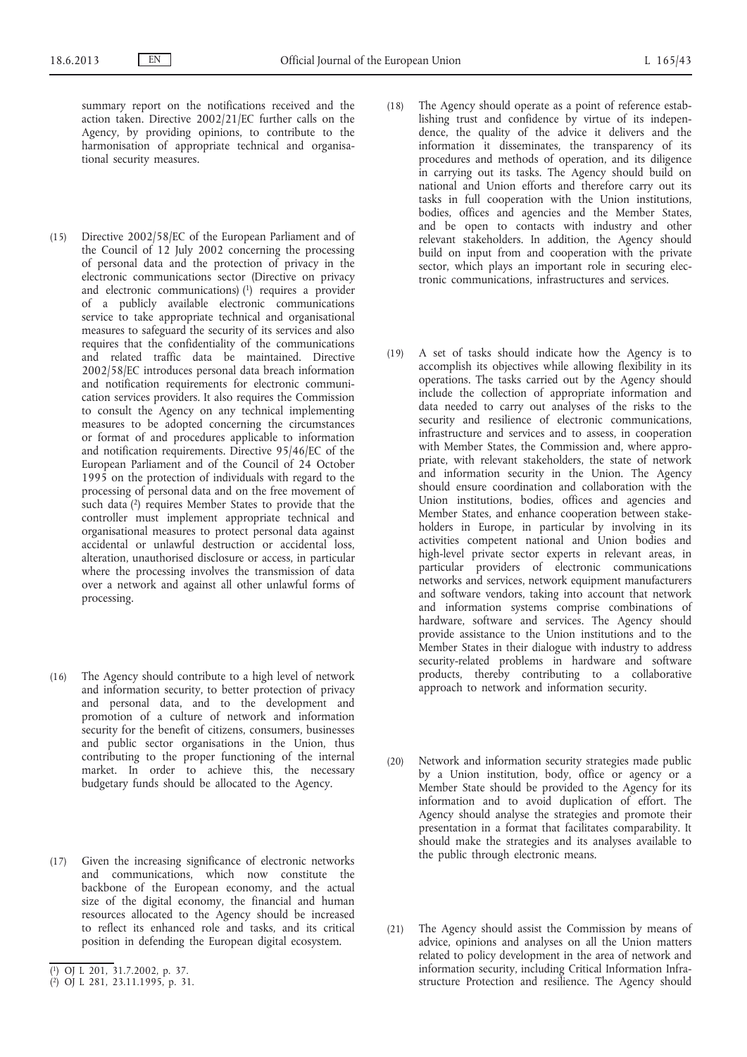summary report on the notifications received and the action taken. Directive 2002/21/EC further calls on the Agency, by providing opinions, to contribute to the harmonisation of appropriate technical and organisational security measures.

- (15) Directive 2002/58/EC of the European Parliament and of the Council of 12 July 2002 concerning the processing of personal data and the protection of privacy in the electronic communications sector (Directive on privacy and electronic communications) (1) requires a provider of a publicly available electronic communications service to take appropriate technical and organisational measures to safeguard the security of its services and also requires that the confidentiality of the communications and related traffic data be maintained. Directive 2002/58/EC introduces personal data breach information and notification requirements for electronic communication services providers. It also requires the Commission to consult the Agency on any technical implementing measures to be adopted concerning the circumstances or format of and procedures applicable to information and notification requirements. Directive 95/46/EC of the European Parliament and of the Council of 24 October 1995 on the protection of individuals with regard to the processing of personal data and on the free movement of such data  $(2)$  requires Member States to provide that the controller must implement appropriate technical and organisational measures to protect personal data against accidental or unlawful destruction or accidental loss, alteration, unauthorised disclosure or access, in particular where the processing involves the transmission of data over a network and against all other unlawful forms of processing.
- (16) The Agency should contribute to a high level of network and information security, to better protection of privacy and personal data, and to the development and promotion of a culture of network and information security for the benefit of citizens, consumers, businesses and public sector organisations in the Union, thus contributing to the proper functioning of the internal market. In order to achieve this, the necessary budgetary funds should be allocated to the Agency.
- (17) Given the increasing significance of electronic networks and communications, which now constitute the backbone of the European economy, and the actual size of the digital economy, the financial and human resources allocated to the Agency should be increased to reflect its enhanced role and tasks, and its critical position in defending the European digital ecosystem.
- (18) The Agency should operate as a point of reference establishing trust and confidence by virtue of its independence, the quality of the advice it delivers and the information it disseminates, the transparency of its procedures and methods of operation, and its diligence in carrying out its tasks. The Agency should build on national and Union efforts and therefore carry out its tasks in full cooperation with the Union institutions, bodies, offices and agencies and the Member States, and be open to contacts with industry and other relevant stakeholders. In addition, the Agency should build on input from and cooperation with the private sector, which plays an important role in securing electronic communications, infrastructures and services.
- (19) A set of tasks should indicate how the Agency is to accomplish its objectives while allowing flexibility in its operations. The tasks carried out by the Agency should include the collection of appropriate information and data needed to carry out analyses of the risks to the security and resilience of electronic communications, infrastructure and services and to assess, in cooperation with Member States, the Commission and, where appropriate, with relevant stakeholders, the state of network and information security in the Union. The Agency should ensure coordination and collaboration with the Union institutions, bodies, offices and agencies and Member States, and enhance cooperation between stakeholders in Europe, in particular by involving in its activities competent national and Union bodies and high-level private sector experts in relevant areas, in particular providers of electronic communications networks and services, network equipment manufacturers and software vendors, taking into account that network and information systems comprise combinations of hardware, software and services. The Agency should provide assistance to the Union institutions and to the Member States in their dialogue with industry to address security-related problems in hardware and software products, thereby contributing to a collaborative approach to network and information security.
- (20) Network and information security strategies made public by a Union institution, body, office or agency or a Member State should be provided to the Agency for its information and to avoid duplication of effort. The Agency should analyse the strategies and promote their presentation in a format that facilitates comparability. It should make the strategies and its analyses available to the public through electronic means.
- (21) The Agency should assist the Commission by means of advice, opinions and analyses on all the Union matters related to policy development in the area of network and information security, including Critical Information Infrastructure Protection and resilience. The Agency should

<sup>(</sup> 1) OJ L 201, 31.7.2002, p. 37.

<sup>(</sup> 2) OJ L 281, 23.11.1995, p. 31.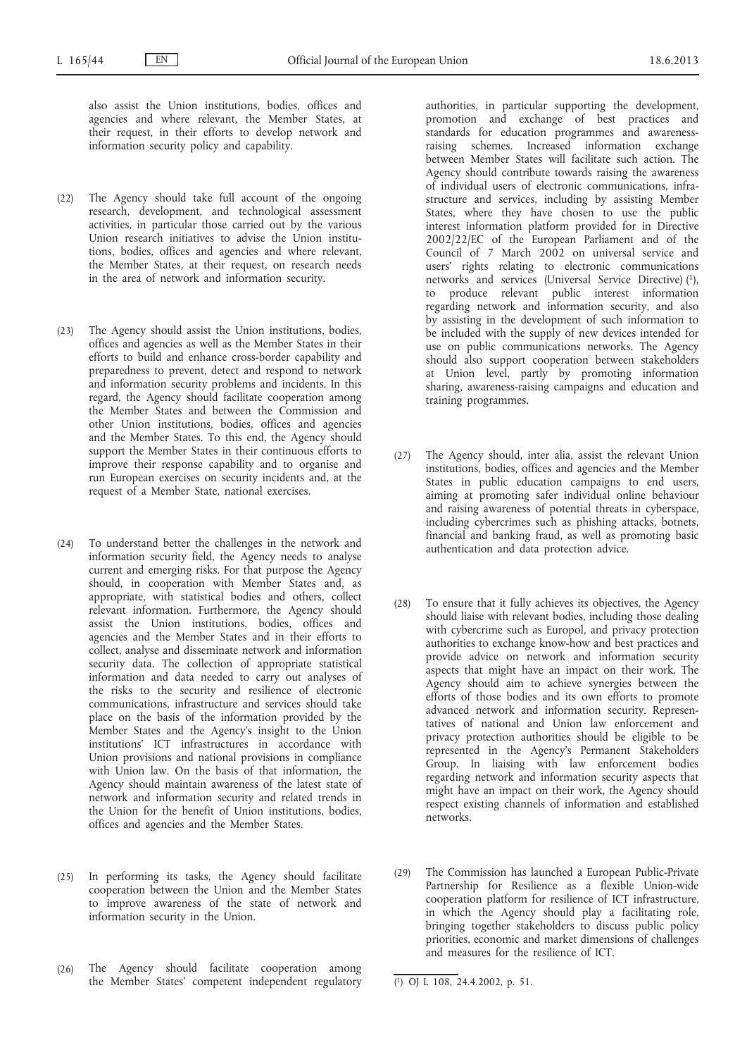also assist the Union institutions, bodies, offices and agencies and where relevant, the Member States, at their request, in their efforts to develop network and information security policy and capability.

- (22) The Agency should take full account of the ongoing research, development, and technological assessment activities, in particular those carried out by the various Union research initiatives to advise the Union institutions, bodies, offices and agencies and where relevant, the Member States, at their request, on research needs in the area of network and information security.
- (23) The Agency should assist the Union institutions, bodies, offices and agencies as well as the Member States in their efforts to build and enhance cross-border capability and preparedness to prevent, detect and respond to network and information security problems and incidents. In this regard, the Agency should facilitate cooperation among the Member States and between the Commission and other Union institutions, bodies, offices and agencies and the Member States. To this end, the Agency should support the Member States in their continuous efforts to improve their response capability and to organise and run European exercises on security incidents and, at the request of a Member State, national exercises.
- (24) To understand better the challenges in the network and information security field, the Agency needs to analyse current and emerging risks. For that purpose the Agency should, in cooperation with Member States and, as appropriate, with statistical bodies and others, collect relevant information. Furthermore, the Agency should assist the Union institutions, bodies, offices and agencies and the Member States and in their efforts to collect, analyse and disseminate network and information security data. The collection of appropriate statistical information and data needed to carry out analyses of the risks to the security and resilience of electronic communications, infrastructure and services should take place on the basis of the information provided by the Member States and the Agency's insight to the Union institutions' ICT infrastructures in accordance with Union provisions and national provisions in compliance with Union law. On the basis of that information, the Agency should maintain awareness of the latest state of network and information security and related trends in the Union for the benefit of Union institutions, bodies, offices and agencies and the Member States.
- (25) In performing its tasks, the Agency should facilitate cooperation between the Union and the Member States to improve awareness of the state of network and information security in the Union.
- (26) The Agency should facilitate cooperation among the Member States' competent independent regulatory

authorities, in particular supporting the development, promotion and exchange of best practices and standards for education programmes and awarenessraising schemes. Increased information exchange between Member States will facilitate such action. The Agency should contribute towards raising the awareness of individual users of electronic communications, infrastructure and services, including by assisting Member States, where they have chosen to use the public interest information platform provided for in Directive 2002/22/EC of the European Parliament and of the Council of 7 March 2002 on universal service and users' rights relating to electronic communications networks and services (Universal Service Directive) (1), to produce relevant public interest information regarding network and information security, and also by assisting in the development of such information to be included with the supply of new devices intended for use on public communications networks. The Agency should also support cooperation between stakeholders at Union level, partly by promoting information sharing, awareness-raising campaigns and education and training programmes.

- (27) The Agency should, inter alia, assist the relevant Union institutions, bodies, offices and agencies and the Member States in public education campaigns to end users, aiming at promoting safer individual online behaviour and raising awareness of potential threats in cyberspace, including cybercrimes such as phishing attacks, botnets, financial and banking fraud, as well as promoting basic authentication and data protection advice.
- (28) To ensure that it fully achieves its objectives, the Agency should liaise with relevant bodies, including those dealing with cybercrime such as Europol, and privacy protection authorities to exchange know-how and best practices and provide advice on network and information security aspects that might have an impact on their work. The Agency should aim to achieve synergies between the efforts of those bodies and its own efforts to promote advanced network and information security. Representatives of national and Union law enforcement and privacy protection authorities should be eligible to be represented in the Agency's Permanent Stakeholders Group. In liaising with law enforcement bodies regarding network and information security aspects that might have an impact on their work, the Agency should respect existing channels of information and established networks.
- (29) The Commission has launched a European Public-Private Partnership for Resilience as a flexible Union-wide cooperation platform for resilience of ICT infrastructure, in which the Agency should play a facilitating role, bringing together stakeholders to discuss public policy priorities, economic and market dimensions of challenges and measures for the resilience of ICT.

<sup>(</sup> 1) OJ L 108, 24.4.2002, p. 51.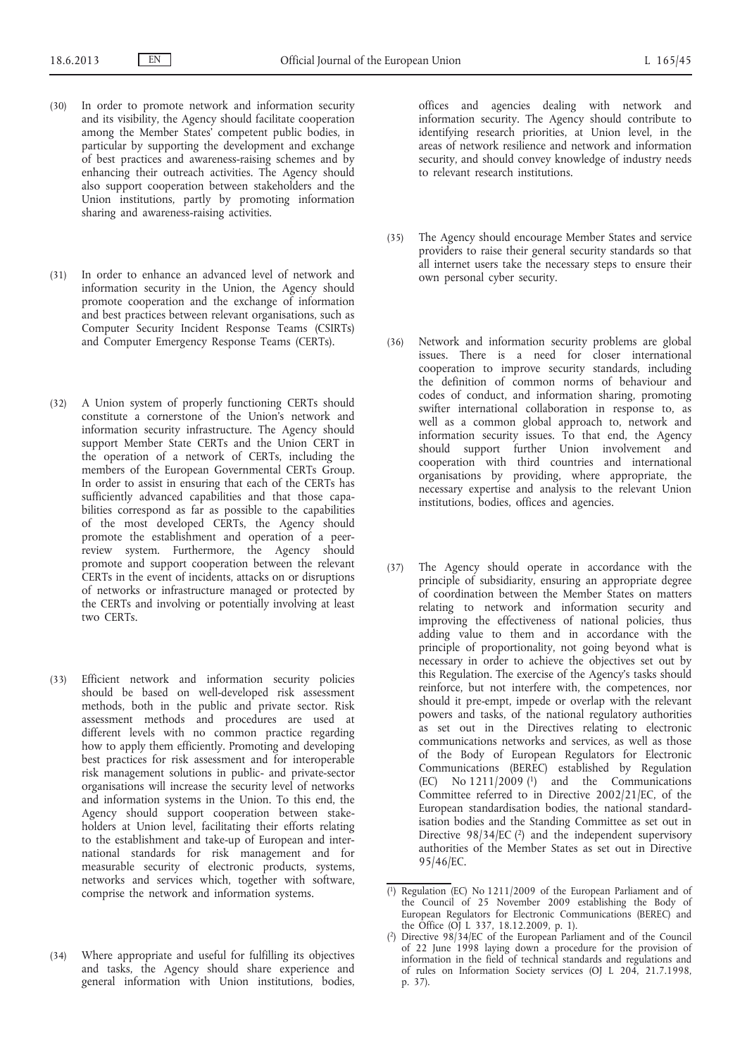- (30) In order to promote network and information security and its visibility, the Agency should facilitate cooperation among the Member States' competent public bodies, in particular by supporting the development and exchange of best practices and awareness-raising schemes and by enhancing their outreach activities. The Agency should also support cooperation between stakeholders and the Union institutions, partly by promoting information sharing and awareness-raising activities.
- (31) In order to enhance an advanced level of network and information security in the Union, the Agency should promote cooperation and the exchange of information and best practices between relevant organisations, such as Computer Security Incident Response Teams (CSIRTs) and Computer Emergency Response Teams (CERTs).
- (32) A Union system of properly functioning CERTs should constitute a cornerstone of the Union's network and information security infrastructure. The Agency should support Member State CERTs and the Union CERT in the operation of a network of CERTs, including the members of the European Governmental CERTs Group. In order to assist in ensuring that each of the CERTs has sufficiently advanced capabilities and that those capabilities correspond as far as possible to the capabilities of the most developed CERTs, the Agency should promote the establishment and operation of a peerreview system. Furthermore, the Agency should promote and support cooperation between the relevant CERTs in the event of incidents, attacks on or disruptions of networks or infrastructure managed or protected by the CERTs and involving or potentially involving at least two CERTs.
- (33) Efficient network and information security policies should be based on well-developed risk assessment methods, both in the public and private sector. Risk assessment methods and procedures are used at different levels with no common practice regarding how to apply them efficiently. Promoting and developing best practices for risk assessment and for interoperable risk management solutions in public- and private-sector organisations will increase the security level of networks and information systems in the Union. To this end, the Agency should support cooperation between stakeholders at Union level, facilitating their efforts relating to the establishment and take-up of European and international standards for risk management and for measurable security of electronic products, systems, networks and services which, together with software, comprise the network and information systems.
- (34) Where appropriate and useful for fulfilling its objectives and tasks, the Agency should share experience and general information with Union institutions, bodies,

offices and agencies dealing with network and information security. The Agency should contribute to identifying research priorities, at Union level, in the areas of network resilience and network and information security, and should convey knowledge of industry needs to relevant research institutions.

- (35) The Agency should encourage Member States and service providers to raise their general security standards so that all internet users take the necessary steps to ensure their own personal cyber security.
- (36) Network and information security problems are global issues. There is a need for closer international cooperation to improve security standards, including the definition of common norms of behaviour and codes of conduct, and information sharing, promoting swifter international collaboration in response to, as well as a common global approach to, network and information security issues. To that end, the Agency should support further Union involvement and cooperation with third countries and international organisations by providing, where appropriate, the necessary expertise and analysis to the relevant Union institutions, bodies, offices and agencies.
- (37) The Agency should operate in accordance with the principle of subsidiarity, ensuring an appropriate degree of coordination between the Member States on matters relating to network and information security and improving the effectiveness of national policies, thus adding value to them and in accordance with the principle of proportionality, not going beyond what is necessary in order to achieve the objectives set out by this Regulation. The exercise of the Agency's tasks should reinforce, but not interfere with, the competences, nor should it pre-empt, impede or overlap with the relevant powers and tasks, of the national regulatory authorities as set out in the Directives relating to electronic communications networks and services, as well as those of the Body of European Regulators for Electronic Communications (BEREC) established by Regulation (EC) No  $1211/2009$  (<sup>1</sup>) and the Communications Committee referred to in Directive 2002/21/EC, of the European standardisation bodies, the national standardisation bodies and the Standing Committee as set out in Directive  $98/34/EC$  (2) and the independent supervisory authorities of the Member States as set out in Directive 95/46/EC.

<sup>(</sup> 1) Regulation (EC) No 1211/2009 of the European Parliament and of the Council of 25 November 2009 establishing the Body of European Regulators for Electronic Communications (BEREC) and the Office (OJ L 337, 18.12.2009, p. 1).

<sup>(</sup> 2) Directive 98/34/EC of the European Parliament and of the Council of 22 June 1998 laying down a procedure for the provision of information in the field of technical standards and regulations and of rules on Information Society services (OJ L 204, 21.7.1998, p. 37).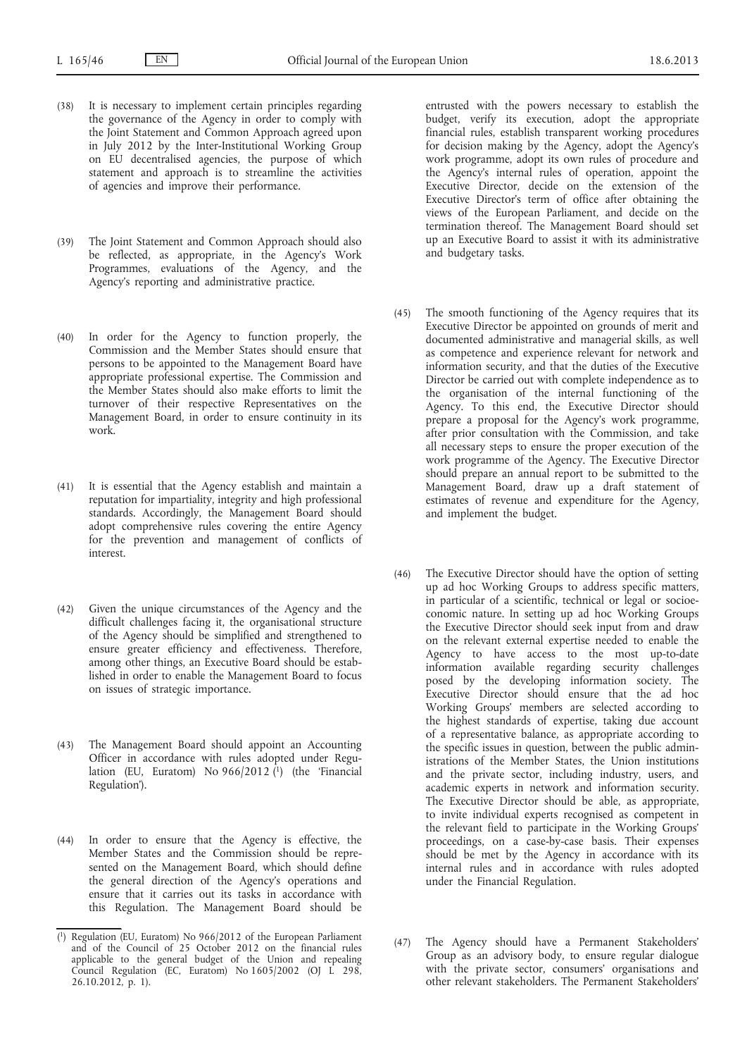- (38) It is necessary to implement certain principles regarding the governance of the Agency in order to comply with the Joint Statement and Common Approach agreed upon in July 2012 by the Inter-Institutional Working Group on EU decentralised agencies, the purpose of which statement and approach is to streamline the activities of agencies and improve their performance.
- (39) The Joint Statement and Common Approach should also be reflected, as appropriate, in the Agency's Work Programmes, evaluations of the Agency, and the Agency's reporting and administrative practice.
- (40) In order for the Agency to function properly, the Commission and the Member States should ensure that persons to be appointed to the Management Board have appropriate professional expertise. The Commission and the Member States should also make efforts to limit the turnover of their respective Representatives on the Management Board, in order to ensure continuity in its work.
- (41) It is essential that the Agency establish and maintain a reputation for impartiality, integrity and high professional standards. Accordingly, the Management Board should adopt comprehensive rules covering the entire Agency for the prevention and management of conflicts of interest.
- (42) Given the unique circumstances of the Agency and the difficult challenges facing it, the organisational structure of the Agency should be simplified and strengthened to ensure greater efficiency and effectiveness. Therefore, among other things, an Executive Board should be established in order to enable the Management Board to focus on issues of strategic importance.
- (43) The Management Board should appoint an Accounting Officer in accordance with rules adopted under Regulation (EU, Euratom) No 966/2012 (1) (the 'Financial Regulation').
- (44) In order to ensure that the Agency is effective, the Member States and the Commission should be represented on the Management Board, which should define the general direction of the Agency's operations and ensure that it carries out its tasks in accordance with this Regulation. The Management Board should be

entrusted with the powers necessary to establish the budget, verify its execution, adopt the appropriate financial rules, establish transparent working procedures for decision making by the Agency, adopt the Agency's work programme, adopt its own rules of procedure and the Agency's internal rules of operation, appoint the Executive Director, decide on the extension of the Executive Director's term of office after obtaining the views of the European Parliament, and decide on the termination thereof. The Management Board should set up an Executive Board to assist it with its administrative and budgetary tasks.

- (45) The smooth functioning of the Agency requires that its Executive Director be appointed on grounds of merit and documented administrative and managerial skills, as well as competence and experience relevant for network and information security, and that the duties of the Executive Director be carried out with complete independence as to the organisation of the internal functioning of the Agency. To this end, the Executive Director should prepare a proposal for the Agency's work programme, after prior consultation with the Commission, and take all necessary steps to ensure the proper execution of the work programme of the Agency. The Executive Director should prepare an annual report to be submitted to the Management Board, draw up a draft statement of estimates of revenue and expenditure for the Agency, and implement the budget.
- (46) The Executive Director should have the option of setting up ad hoc Working Groups to address specific matters, in particular of a scientific, technical or legal or socioeconomic nature. In setting up ad hoc Working Groups the Executive Director should seek input from and draw on the relevant external expertise needed to enable the Agency to have access to the most up-to-date information available regarding security challenges posed by the developing information society. The Executive Director should ensure that the ad hoc Working Groups' members are selected according to the highest standards of expertise, taking due account of a representative balance, as appropriate according to the specific issues in question, between the public administrations of the Member States, the Union institutions and the private sector, including industry, users, and academic experts in network and information security. The Executive Director should be able, as appropriate, to invite individual experts recognised as competent in the relevant field to participate in the Working Groups' proceedings, on a case-by-case basis. Their expenses should be met by the Agency in accordance with its internal rules and in accordance with rules adopted under the Financial Regulation.
- (47) The Agency should have a Permanent Stakeholders' Group as an advisory body, to ensure regular dialogue with the private sector, consumers' organisations and other relevant stakeholders. The Permanent Stakeholders'

<sup>(</sup> 1) Regulation (EU, Euratom) No 966/2012 of the European Parliament and of the Council of 25 October 2012 on the financial rules applicable to the general budget of the Union and repealing Council Regulation (EC, Euratom) No 1605/2002 (OJ L 298, 26.10.2012, p. 1).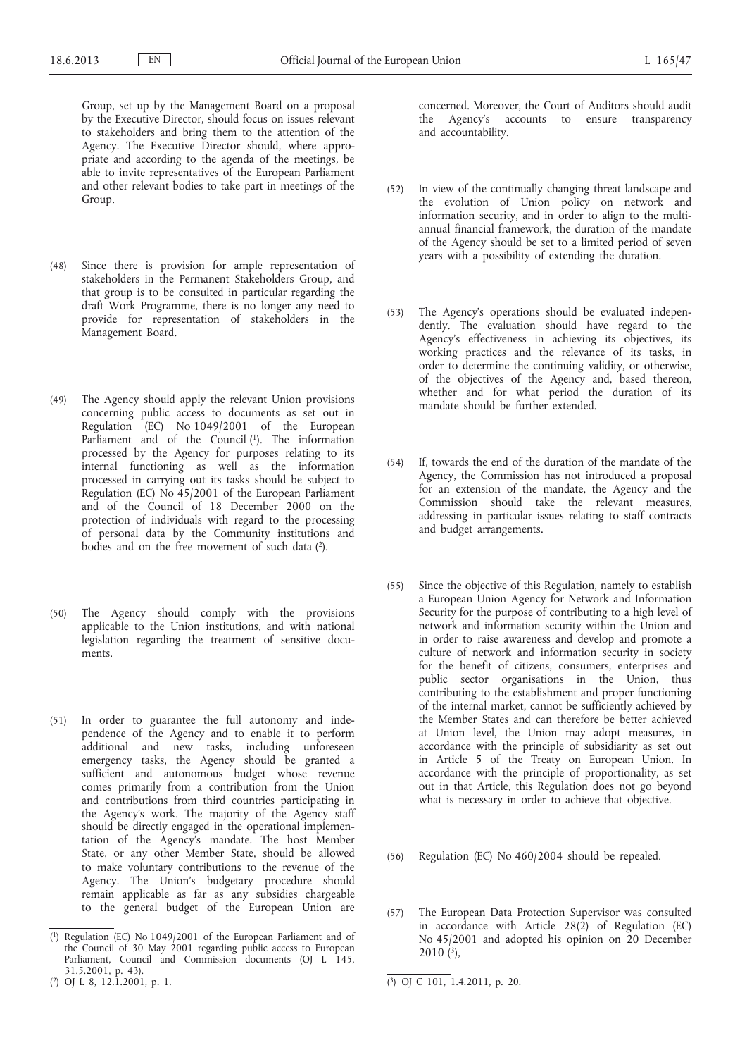Group, set up by the Management Board on a proposal by the Executive Director, should focus on issues relevant to stakeholders and bring them to the attention of the Agency. The Executive Director should, where appropriate and according to the agenda of the meetings, be able to invite representatives of the European Parliament and other relevant bodies to take part in meetings of the Group.

- (48) Since there is provision for ample representation of stakeholders in the Permanent Stakeholders Group, and that group is to be consulted in particular regarding the draft Work Programme, there is no longer any need to provide for representation of stakeholders in the Management Board.
- (49) The Agency should apply the relevant Union provisions concerning public access to documents as set out in Regulation (EC) No 1049/2001 of the European Parliament and of the Council (1). The information processed by the Agency for purposes relating to its internal functioning as well as the information processed in carrying out its tasks should be subject to Regulation (EC) No 45/2001 of the European Parliament and of the Council of 18 December 2000 on the protection of individuals with regard to the processing of personal data by the Community institutions and bodies and on the free movement of such data (2).
- (50) The Agency should comply with the provisions applicable to the Union institutions, and with national legislation regarding the treatment of sensitive documents.
- (51) In order to guarantee the full autonomy and independence of the Agency and to enable it to perform additional and new tasks, including unforeseen emergency tasks, the Agency should be granted a sufficient and autonomous budget whose revenue comes primarily from a contribution from the Union and contributions from third countries participating in the Agency's work. The majority of the Agency staff should be directly engaged in the operational implementation of the Agency's mandate. The host Member State, or any other Member State, should be allowed to make voluntary contributions to the revenue of the Agency. The Union's budgetary procedure should remain applicable as far as any subsidies chargeable to the general budget of the European Union are

concerned. Moreover, the Court of Auditors should audit the Agency's accounts to ensure transparency and accountability.

- (52) In view of the continually changing threat landscape and the evolution of Union policy on network and information security, and in order to align to the multiannual financial framework, the duration of the mandate of the Agency should be set to a limited period of seven years with a possibility of extending the duration.
- (53) The Agency's operations should be evaluated independently. The evaluation should have regard to the Agency's effectiveness in achieving its objectives, its working practices and the relevance of its tasks, in order to determine the continuing validity, or otherwise, of the objectives of the Agency and, based thereon, whether and for what period the duration of its mandate should be further extended.
- (54) If, towards the end of the duration of the mandate of the Agency, the Commission has not introduced a proposal for an extension of the mandate, the Agency and the Commission should take the relevant measures, addressing in particular issues relating to staff contracts and budget arrangements.
- (55) Since the objective of this Regulation, namely to establish a European Union Agency for Network and Information Security for the purpose of contributing to a high level of network and information security within the Union and in order to raise awareness and develop and promote a culture of network and information security in society for the benefit of citizens, consumers, enterprises and public sector organisations in the Union, thus contributing to the establishment and proper functioning of the internal market, cannot be sufficiently achieved by the Member States and can therefore be better achieved at Union level, the Union may adopt measures, in accordance with the principle of subsidiarity as set out in Article 5 of the Treaty on European Union. In accordance with the principle of proportionality, as set out in that Article, this Regulation does not go beyond what is necessary in order to achieve that objective.
- (56) Regulation (EC) No 460/2004 should be repealed.
- (57) The European Data Protection Supervisor was consulted in accordance with Article 28(2) of Regulation (EC) No 45/2001 and adopted his opinion on 20 December 2010 $(3)$ ,

<sup>(</sup> 1) Regulation (EC) No 1049/2001 of the European Parliament and of the Council of 30 May 2001 regarding public access to European Parliament, Council and Commission documents (OJ L 145, 31.5.2001, p. 43).

 $(2)$  OJ L 8, 12.1.2001, p. 1.

 $\overline{(^3)}$  OJ C 101, 1.4.2011, p. 20.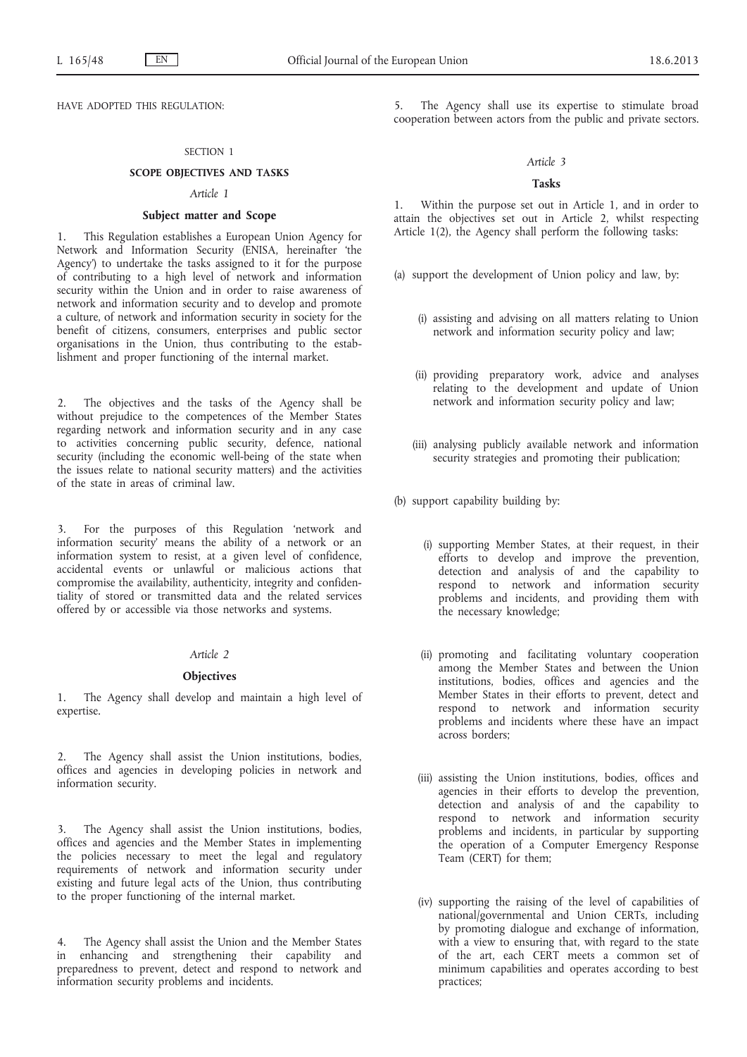HAVE ADOPTED THIS REGULATION:

## SECTION 1

## **SCOPE OBJECTIVES AND TASKS**

#### *Article 1*

## **Subject matter and Scope**

This Regulation establishes a European Union Agency for Network and Information Security (ENISA, hereinafter 'the Agency') to undertake the tasks assigned to it for the purpose of contributing to a high level of network and information security within the Union and in order to raise awareness of network and information security and to develop and promote a culture, of network and information security in society for the benefit of citizens, consumers, enterprises and public sector organisations in the Union, thus contributing to the establishment and proper functioning of the internal market.

2. The objectives and the tasks of the Agency shall be without prejudice to the competences of the Member States regarding network and information security and in any case to activities concerning public security, defence, national security (including the economic well-being of the state when the issues relate to national security matters) and the activities of the state in areas of criminal law.

3. For the purposes of this Regulation 'network and information security' means the ability of a network or an information system to resist, at a given level of confidence, accidental events or unlawful or malicious actions that compromise the availability, authenticity, integrity and confidentiality of stored or transmitted data and the related services offered by or accessible via those networks and systems.

## *Article 2*

#### **Objectives**

1. The Agency shall develop and maintain a high level of expertise.

2. The Agency shall assist the Union institutions, bodies, offices and agencies in developing policies in network and information security.

3. The Agency shall assist the Union institutions, bodies, offices and agencies and the Member States in implementing the policies necessary to meet the legal and regulatory requirements of network and information security under existing and future legal acts of the Union, thus contributing to the proper functioning of the internal market.

4. The Agency shall assist the Union and the Member States in enhancing and strengthening their capability and preparedness to prevent, detect and respond to network and information security problems and incidents.

The Agency shall use its expertise to stimulate broad cooperation between actors from the public and private sectors.

#### *Article 3*

#### **Tasks**

1. Within the purpose set out in Article 1, and in order to attain the objectives set out in Article 2, whilst respecting Article 1(2), the Agency shall perform the following tasks:

- (a) support the development of Union policy and law, by:
	- (i) assisting and advising on all matters relating to Union network and information security policy and law;
	- (ii) providing preparatory work, advice and analyses relating to the development and update of Union network and information security policy and law;
	- (iii) analysing publicly available network and information security strategies and promoting their publication;

(b) support capability building by:

- (i) supporting Member States, at their request, in their efforts to develop and improve the prevention, detection and analysis of and the capability to respond to network and information security problems and incidents, and providing them with the necessary knowledge;
- (ii) promoting and facilitating voluntary cooperation among the Member States and between the Union institutions, bodies, offices and agencies and the Member States in their efforts to prevent, detect and respond to network and information security problems and incidents where these have an impact across borders;
- (iii) assisting the Union institutions, bodies, offices and agencies in their efforts to develop the prevention, detection and analysis of and the capability to respond to network and information security problems and incidents, in particular by supporting the operation of a Computer Emergency Response Team (CERT) for them;
- (iv) supporting the raising of the level of capabilities of national/governmental and Union CERTs, including by promoting dialogue and exchange of information, with a view to ensuring that, with regard to the state of the art, each CERT meets a common set of minimum capabilities and operates according to best practices;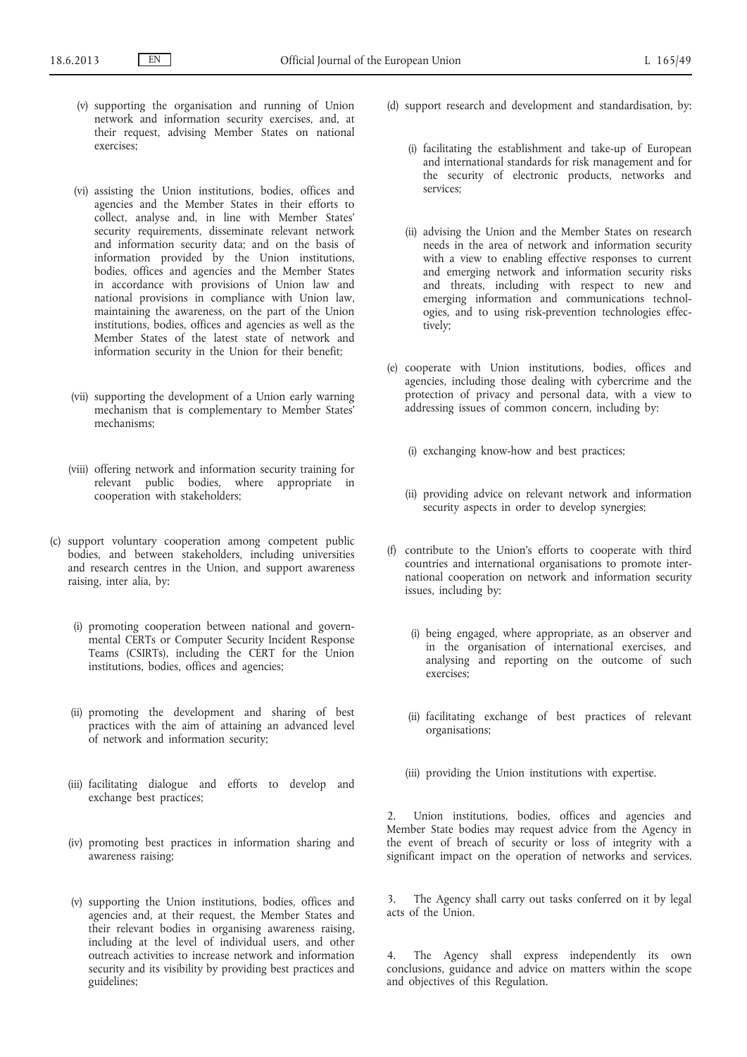- (v) supporting the organisation and running of Union network and information security exercises, and, at their request, advising Member States on national exercises;
- (vi) assisting the Union institutions, bodies, offices and agencies and the Member States in their efforts to collect, analyse and, in line with Member States' security requirements, disseminate relevant network and information security data; and on the basis of information provided by the Union institutions, bodies, offices and agencies and the Member States in accordance with provisions of Union law and national provisions in compliance with Union law, maintaining the awareness, on the part of the Union institutions, bodies, offices and agencies as well as the Member States of the latest state of network and information security in the Union for their benefit;
- (vii) supporting the development of a Union early warning mechanism that is complementary to Member States' mechanisms;
- (viii) offering network and information security training for relevant public bodies, where appropriate in cooperation with stakeholders;
- (c) support voluntary cooperation among competent public bodies, and between stakeholders, including universities and research centres in the Union, and support awareness raising, inter alia, by:
	- (i) promoting cooperation between national and governmental CERTs or Computer Security Incident Response Teams (CSIRTs), including the CERT for the Union institutions, bodies, offices and agencies;
	- (ii) promoting the development and sharing of best practices with the aim of attaining an advanced level of network and information security;
	- (iii) facilitating dialogue and efforts to develop and exchange best practices;
	- (iv) promoting best practices in information sharing and awareness raising;
	- (v) supporting the Union institutions, bodies, offices and agencies and, at their request, the Member States and their relevant bodies in organising awareness raising, including at the level of individual users, and other outreach activities to increase network and information security and its visibility by providing best practices and guidelines;
- (d) support research and development and standardisation, by:
	- (i) facilitating the establishment and take-up of European and international standards for risk management and for the security of electronic products, networks and services;
	- (ii) advising the Union and the Member States on research needs in the area of network and information security with a view to enabling effective responses to current and emerging network and information security risks and threats, including with respect to new and emerging information and communications technologies, and to using risk-prevention technologies effectively;
- (e) cooperate with Union institutions, bodies, offices and agencies, including those dealing with cybercrime and the protection of privacy and personal data, with a view to addressing issues of common concern, including by:
	- (i) exchanging know-how and best practices;
	- (ii) providing advice on relevant network and information security aspects in order to develop synergies:
- (f) contribute to the Union's efforts to cooperate with third countries and international organisations to promote international cooperation on network and information security issues, including by:
	- (i) being engaged, where appropriate, as an observer and in the organisation of international exercises, and analysing and reporting on the outcome of such exercises;
	- (ii) facilitating exchange of best practices of relevant organisations;
	- (iii) providing the Union institutions with expertise.

2. Union institutions, bodies, offices and agencies and Member State bodies may request advice from the Agency in the event of breach of security or loss of integrity with a significant impact on the operation of networks and services.

3. The Agency shall carry out tasks conferred on it by legal acts of the Union.

4. The Agency shall express independently its own conclusions, guidance and advice on matters within the scope and objectives of this Regulation.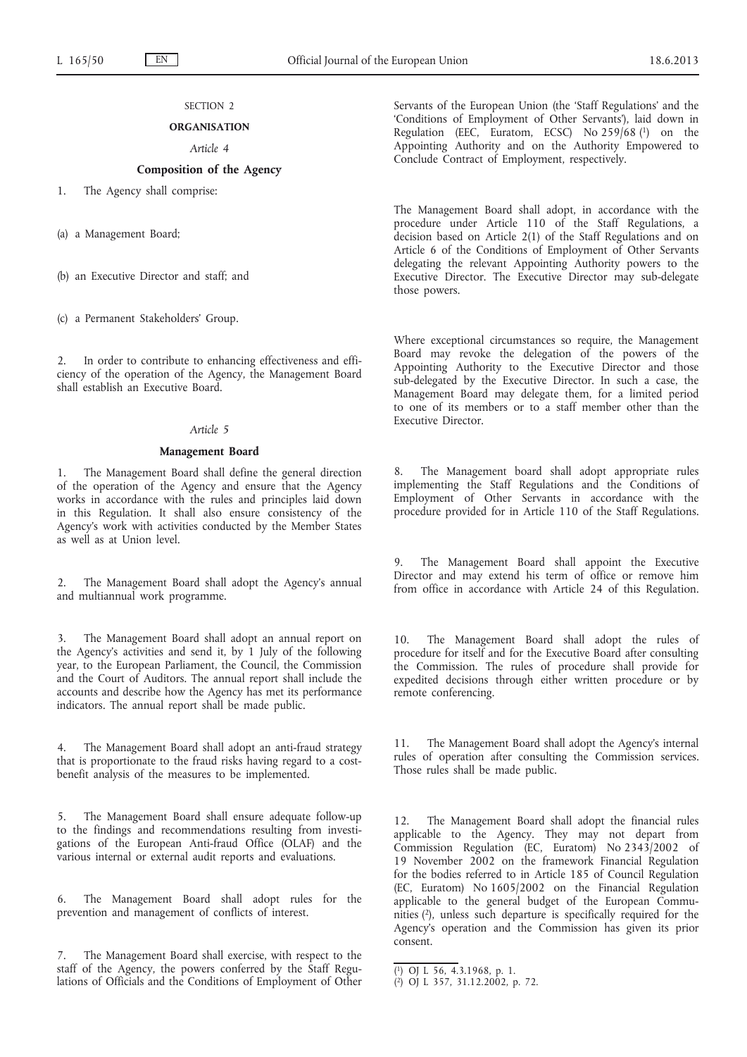# SECTION<sub>2</sub>

# **ORGANISATION**

# *Article 4*

# **Composition of the Agency**

1. The Agency shall comprise:

(a) a Management Board;

(b) an Executive Director and staff; and

(c) a Permanent Stakeholders' Group.

2. In order to contribute to enhancing effectiveness and efficiency of the operation of the Agency, the Management Board shall establish an Executive Board.

## *Article 5*

#### **Management Board**

1. The Management Board shall define the general direction of the operation of the Agency and ensure that the Agency works in accordance with the rules and principles laid down in this Regulation. It shall also ensure consistency of the Agency's work with activities conducted by the Member States as well as at Union level.

2. The Management Board shall adopt the Agency's annual and multiannual work programme.

The Management Board shall adopt an annual report on the Agency's activities and send it, by 1 July of the following year, to the European Parliament, the Council, the Commission and the Court of Auditors. The annual report shall include the accounts and describe how the Agency has met its performance indicators. The annual report shall be made public.

4. The Management Board shall adopt an anti-fraud strategy that is proportionate to the fraud risks having regard to a costbenefit analysis of the measures to be implemented.

5. The Management Board shall ensure adequate follow-up to the findings and recommendations resulting from investigations of the European Anti-fraud Office (OLAF) and the various internal or external audit reports and evaluations.

6. The Management Board shall adopt rules for the prevention and management of conflicts of interest.

7. The Management Board shall exercise, with respect to the staff of the Agency, the powers conferred by the Staff Regulations of Officials and the Conditions of Employment of Other Servants of the European Union (the 'Staff Regulations' and the 'Conditions of Employment of Other Servants'), laid down in Regulation (EEC, Euratom, ECSC) No 259/68 (1) on the Appointing Authority and on the Authority Empowered to Conclude Contract of Employment, respectively.

The Management Board shall adopt, in accordance with the procedure under Article 110 of the Staff Regulations, a decision based on Article 2(1) of the Staff Regulations and on Article 6 of the Conditions of Employment of Other Servants delegating the relevant Appointing Authority powers to the Executive Director. The Executive Director may sub-delegate those powers.

Where exceptional circumstances so require, the Management Board may revoke the delegation of the powers of the Appointing Authority to the Executive Director and those sub-delegated by the Executive Director. In such a case, the Management Board may delegate them, for a limited period to one of its members or to a staff member other than the Executive Director.

The Management board shall adopt appropriate rules implementing the Staff Regulations and the Conditions of Employment of Other Servants in accordance with the procedure provided for in Article 110 of the Staff Regulations.

The Management Board shall appoint the Executive Director and may extend his term of office or remove him from office in accordance with Article 24 of this Regulation.

10. The Management Board shall adopt the rules of procedure for itself and for the Executive Board after consulting the Commission. The rules of procedure shall provide for expedited decisions through either written procedure or by remote conferencing.

11. The Management Board shall adopt the Agency's internal rules of operation after consulting the Commission services. Those rules shall be made public.

12. The Management Board shall adopt the financial rules applicable to the Agency. They may not depart from Commission Regulation (EC, Euratom) No 2343/2002 of 19 November 2002 on the framework Financial Regulation for the bodies referred to in Article 185 of Council Regulation (EC, Euratom) No 1605/2002 on the Financial Regulation applicable to the general budget of the European Communities (2), unless such departure is specifically required for the Agency's operation and the Commission has given its prior consent.

<sup>(</sup> 1) OJ L 56, 4.3.1968, p. 1.

<sup>(</sup> 2) OJ L 357, 31.12.2002, p. 72.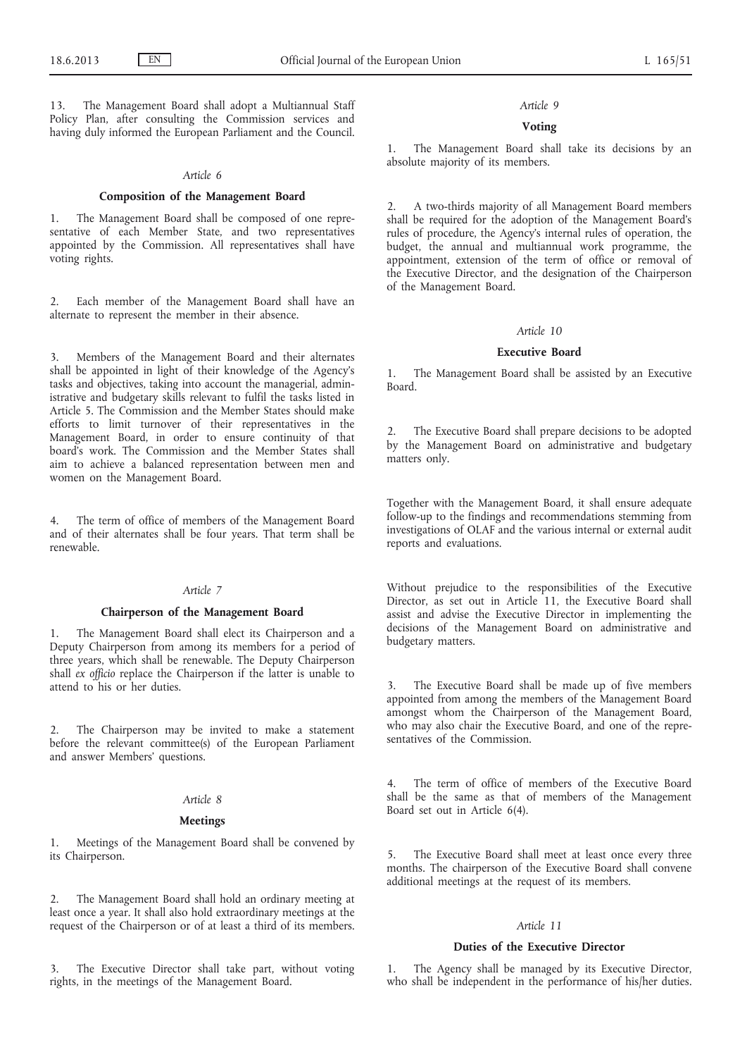The Management Board shall adopt a Multiannual Staff Policy Plan, after consulting the Commission services and having duly informed the European Parliament and the Council.

## *Article 6*

#### **Composition of the Management Board**

1. The Management Board shall be composed of one representative of each Member State, and two representatives appointed by the Commission. All representatives shall have voting rights.

2. Each member of the Management Board shall have an alternate to represent the member in their absence.

Members of the Management Board and their alternates shall be appointed in light of their knowledge of the Agency's tasks and objectives, taking into account the managerial, administrative and budgetary skills relevant to fulfil the tasks listed in Article 5. The Commission and the Member States should make efforts to limit turnover of their representatives in the Management Board, in order to ensure continuity of that board's work. The Commission and the Member States shall aim to achieve a balanced representation between men and women on the Management Board.

4. The term of office of members of the Management Board and of their alternates shall be four years. That term shall be renewable.

## *Article 7*

## **Chairperson of the Management Board**

The Management Board shall elect its Chairperson and a Deputy Chairperson from among its members for a period of three years, which shall be renewable. The Deputy Chairperson shall *ex officio* replace the Chairperson if the latter is unable to attend to his or her duties.

The Chairperson may be invited to make a statement before the relevant committee(s) of the European Parliament and answer Members' questions.

## *Article 8*

## **Meetings**

1. Meetings of the Management Board shall be convened by its Chairperson.

2. The Management Board shall hold an ordinary meeting at least once a year. It shall also hold extraordinary meetings at the request of the Chairperson or of at least a third of its members.

The Executive Director shall take part, without voting rights, in the meetings of the Management Board.

#### *Article 9*

# **Voting**

1. The Management Board shall take its decisions by an absolute majority of its members.

2. A two-thirds majority of all Management Board members shall be required for the adoption of the Management Board's rules of procedure, the Agency's internal rules of operation, the budget, the annual and multiannual work programme, the appointment, extension of the term of office or removal of the Executive Director, and the designation of the Chairperson of the Management Board.

#### *Article 10*

## **Executive Board**

1. The Management Board shall be assisted by an Executive Board.

2. The Executive Board shall prepare decisions to be adopted by the Management Board on administrative and budgetary matters only.

Together with the Management Board, it shall ensure adequate follow-up to the findings and recommendations stemming from investigations of OLAF and the various internal or external audit reports and evaluations.

Without prejudice to the responsibilities of the Executive Director, as set out in Article 11, the Executive Board shall assist and advise the Executive Director in implementing the decisions of the Management Board on administrative and budgetary matters.

3. The Executive Board shall be made up of five members appointed from among the members of the Management Board amongst whom the Chairperson of the Management Board, who may also chair the Executive Board, and one of the representatives of the Commission.

4. The term of office of members of the Executive Board shall be the same as that of members of the Management Board set out in Article 6(4).

5. The Executive Board shall meet at least once every three months. The chairperson of the Executive Board shall convene additional meetings at the request of its members.

## *Article 11*

## **Duties of the Executive Director**

1. The Agency shall be managed by its Executive Director, who shall be independent in the performance of his/her duties.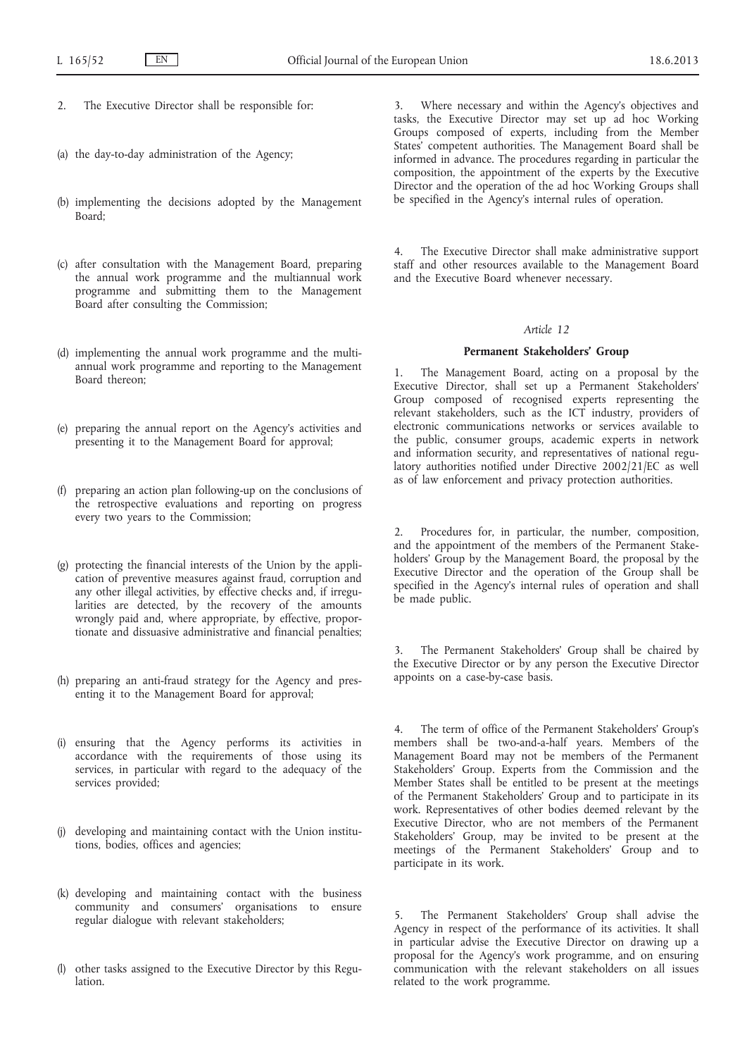- 2. The Executive Director shall be responsible for:
- (a) the day-to-day administration of the Agency;
- (b) implementing the decisions adopted by the Management Board;
- (c) after consultation with the Management Board, preparing the annual work programme and the multiannual work programme and submitting them to the Management Board after consulting the Commission;
- (d) implementing the annual work programme and the multiannual work programme and reporting to the Management Board thereon;
- (e) preparing the annual report on the Agency's activities and presenting it to the Management Board for approval;
- (f) preparing an action plan following-up on the conclusions of the retrospective evaluations and reporting on progress every two years to the Commission;
- (g) protecting the financial interests of the Union by the application of preventive measures against fraud, corruption and any other illegal activities, by effective checks and, if irregularities are detected, by the recovery of the amounts wrongly paid and, where appropriate, by effective, proportionate and dissuasive administrative and financial penalties;
- (h) preparing an anti-fraud strategy for the Agency and presenting it to the Management Board for approval;
- (i) ensuring that the Agency performs its activities in accordance with the requirements of those using its services, in particular with regard to the adequacy of the services provided;
- (j) developing and maintaining contact with the Union institutions, bodies, offices and agencies;
- (k) developing and maintaining contact with the business community and consumers' organisations to ensure regular dialogue with relevant stakeholders;
- (l) other tasks assigned to the Executive Director by this Regulation.

3. Where necessary and within the Agency's objectives and tasks, the Executive Director may set up ad hoc Working Groups composed of experts, including from the Member States' competent authorities. The Management Board shall be informed in advance. The procedures regarding in particular the composition, the appointment of the experts by the Executive Director and the operation of the ad hoc Working Groups shall be specified in the Agency's internal rules of operation.

4. The Executive Director shall make administrative support staff and other resources available to the Management Board and the Executive Board whenever necessary.

## *Article 12*

#### **Permanent Stakeholders' Group**

The Management Board, acting on a proposal by the Executive Director, shall set up a Permanent Stakeholders' Group composed of recognised experts representing the relevant stakeholders, such as the ICT industry, providers of electronic communications networks or services available to the public, consumer groups, academic experts in network and information security, and representatives of national regulatory authorities notified under Directive 2002/21/EC as well as of law enforcement and privacy protection authorities.

2. Procedures for, in particular, the number, composition, and the appointment of the members of the Permanent Stakeholders' Group by the Management Board, the proposal by the Executive Director and the operation of the Group shall be specified in the Agency's internal rules of operation and shall be made public.

3. The Permanent Stakeholders' Group shall be chaired by the Executive Director or by any person the Executive Director appoints on a case-by-case basis.

4. The term of office of the Permanent Stakeholders' Group's members shall be two-and-a-half years. Members of the Management Board may not be members of the Permanent Stakeholders' Group. Experts from the Commission and the Member States shall be entitled to be present at the meetings of the Permanent Stakeholders' Group and to participate in its work. Representatives of other bodies deemed relevant by the Executive Director, who are not members of the Permanent Stakeholders' Group, may be invited to be present at the meetings of the Permanent Stakeholders' Group and to participate in its work.

5. The Permanent Stakeholders' Group shall advise the Agency in respect of the performance of its activities. It shall in particular advise the Executive Director on drawing up a proposal for the Agency's work programme, and on ensuring communication with the relevant stakeholders on all issues related to the work programme.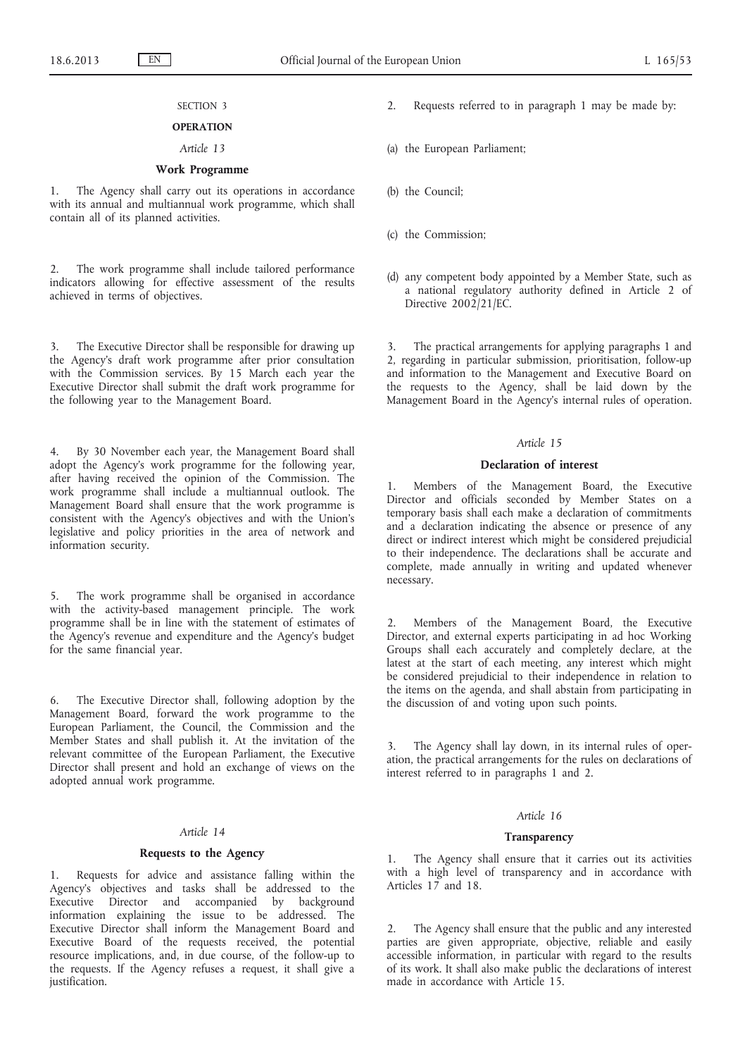# SECTION 3

# **OPERATION**

# *Article 13*

# **Work Programme**

1. The Agency shall carry out its operations in accordance with its annual and multiannual work programme, which shall contain all of its planned activities.

2. The work programme shall include tailored performance indicators allowing for effective assessment of the results achieved in terms of objectives.

3. The Executive Director shall be responsible for drawing up the Agency's draft work programme after prior consultation with the Commission services. By 15 March each year the Executive Director shall submit the draft work programme for the following year to the Management Board.

4. By 30 November each year, the Management Board shall adopt the Agency's work programme for the following year, after having received the opinion of the Commission. The work programme shall include a multiannual outlook. The Management Board shall ensure that the work programme is consistent with the Agency's objectives and with the Union's legislative and policy priorities in the area of network and information security.

5. The work programme shall be organised in accordance with the activity-based management principle. The work programme shall be in line with the statement of estimates of the Agency's revenue and expenditure and the Agency's budget for the same financial year.

6. The Executive Director shall, following adoption by the Management Board, forward the work programme to the European Parliament, the Council, the Commission and the Member States and shall publish it. At the invitation of the relevant committee of the European Parliament, the Executive Director shall present and hold an exchange of views on the adopted annual work programme.

## *Article 14*

#### **Requests to the Agency**

1. Requests for advice and assistance falling within the Agency's objectives and tasks shall be addressed to the Executive Director and accompanied by background information explaining the issue to be addressed. The Executive Director shall inform the Management Board and Executive Board of the requests received, the potential resource implications, and, in due course, of the follow-up to the requests. If the Agency refuses a request, it shall give a justification.

- Requests referred to in paragraph 1 may be made by:
- (a) the European Parliament;
- (b) the Council;
- (c) the Commission;
- (d) any competent body appointed by a Member State, such as a national regulatory authority defined in Article 2 of Directive 2002/21/EC.

3. The practical arrangements for applying paragraphs 1 and 2, regarding in particular submission, prioritisation, follow-up and information to the Management and Executive Board on the requests to the Agency, shall be laid down by the Management Board in the Agency's internal rules of operation.

## *Article 15*

### **Declaration of interest**

1. Members of the Management Board, the Executive Director and officials seconded by Member States on a temporary basis shall each make a declaration of commitments and a declaration indicating the absence or presence of any direct or indirect interest which might be considered prejudicial to their independence. The declarations shall be accurate and complete, made annually in writing and updated whenever necessary.

2. Members of the Management Board, the Executive Director, and external experts participating in ad hoc Working Groups shall each accurately and completely declare, at the latest at the start of each meeting, any interest which might be considered prejudicial to their independence in relation to the items on the agenda, and shall abstain from participating in the discussion of and voting upon such points.

3. The Agency shall lay down, in its internal rules of operation, the practical arrangements for the rules on declarations of interest referred to in paragraphs 1 and 2.

## *Article 16*

#### **Transparency**

1. The Agency shall ensure that it carries out its activities with a high level of transparency and in accordance with Articles 17 and 18.

2. The Agency shall ensure that the public and any interested parties are given appropriate, objective, reliable and easily accessible information, in particular with regard to the results of its work. It shall also make public the declarations of interest made in accordance with Article 15.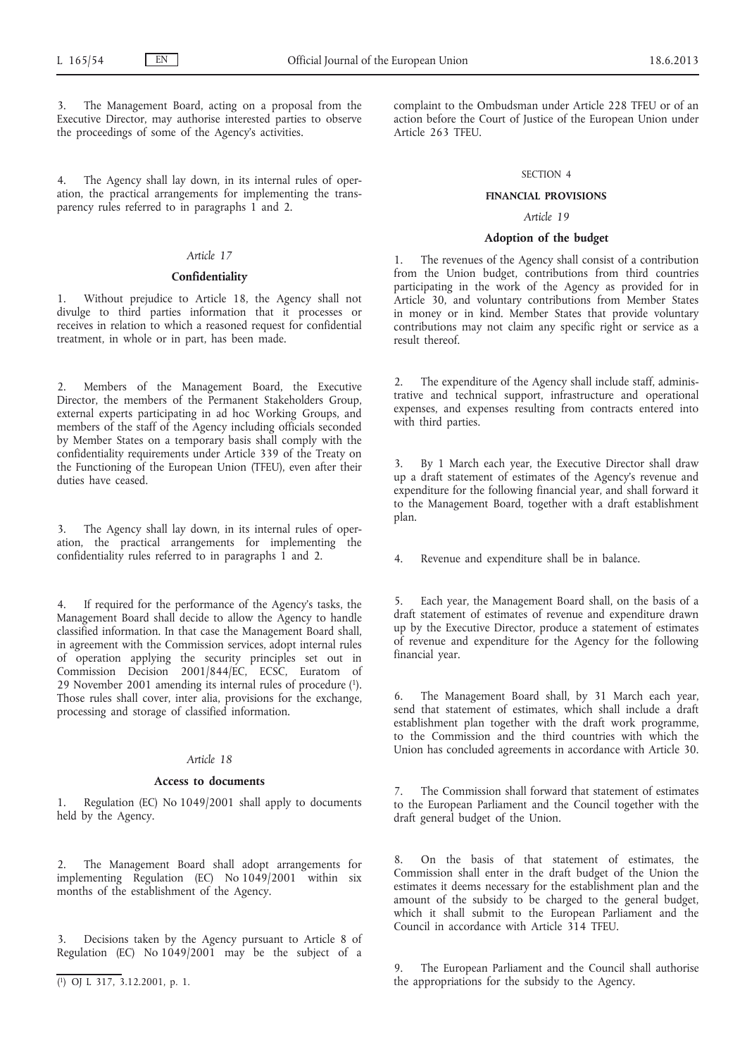The Management Board, acting on a proposal from the Executive Director, may authorise interested parties to observe the proceedings of some of the Agency's activities.

4. The Agency shall lay down, in its internal rules of operation, the practical arrangements for implementing the transparency rules referred to in paragraphs 1 and 2.

# *Article 17*

### **Confidentiality**

1. Without prejudice to Article 18, the Agency shall not divulge to third parties information that it processes or receives in relation to which a reasoned request for confidential treatment, in whole or in part, has been made.

Members of the Management Board, the Executive Director, the members of the Permanent Stakeholders Group, external experts participating in ad hoc Working Groups, and members of the staff of the Agency including officials seconded by Member States on a temporary basis shall comply with the confidentiality requirements under Article 339 of the Treaty on the Functioning of the European Union (TFEU), even after their duties have ceased.

3. The Agency shall lay down, in its internal rules of operation, the practical arrangements for implementing the confidentiality rules referred to in paragraphs 1 and 2.

If required for the performance of the Agency's tasks, the Management Board shall decide to allow the Agency to handle classified information. In that case the Management Board shall, in agreement with the Commission services, adopt internal rules of operation applying the security principles set out in Commission Decision 2001/844/EC, ECSC, Euratom of 29 November 2001 amending its internal rules of procedure (1). Those rules shall cover, inter alia, provisions for the exchange, processing and storage of classified information.

# *Article 18*

#### **Access to documents**

1. Regulation (EC) No 1049/2001 shall apply to documents held by the Agency.

2. The Management Board shall adopt arrangements for implementing Regulation (EC) No 1049/2001 within six months of the establishment of the Agency.

Decisions taken by the Agency pursuant to Article 8 of Regulation (EC) No  $1049/2001$  may be the subject of a complaint to the Ombudsman under Article 228 TFEU or of an action before the Court of Justice of the European Union under Article 263 TFEU.

## SECTION 4

## **FINANCIAL PROVISIONS**

## *Article 19*

#### **Adoption of the budget**

1. The revenues of the Agency shall consist of a contribution from the Union budget, contributions from third countries participating in the work of the Agency as provided for in Article 30, and voluntary contributions from Member States in money or in kind. Member States that provide voluntary contributions may not claim any specific right or service as a result thereof.

2. The expenditure of the Agency shall include staff, administrative and technical support, infrastructure and operational expenses, and expenses resulting from contracts entered into with third parties.

By 1 March each year, the Executive Director shall draw up a draft statement of estimates of the Agency's revenue and expenditure for the following financial year, and shall forward it to the Management Board, together with a draft establishment plan.

4. Revenue and expenditure shall be in balance.

5. Each year, the Management Board shall, on the basis of a draft statement of estimates of revenue and expenditure drawn up by the Executive Director, produce a statement of estimates of revenue and expenditure for the Agency for the following financial year.

The Management Board shall, by 31 March each year, send that statement of estimates, which shall include a draft establishment plan together with the draft work programme, to the Commission and the third countries with which the Union has concluded agreements in accordance with Article 30.

7. The Commission shall forward that statement of estimates to the European Parliament and the Council together with the draft general budget of the Union.

8. On the basis of that statement of estimates, the Commission shall enter in the draft budget of the Union the estimates it deems necessary for the establishment plan and the amount of the subsidy to be charged to the general budget, which it shall submit to the European Parliament and the Council in accordance with Article 314 TFEU.

The European Parliament and the Council shall authorise the appropriations for the subsidy to the Agency.

<sup>(</sup> 1) OJ L 317, 3.12.2001, p. 1.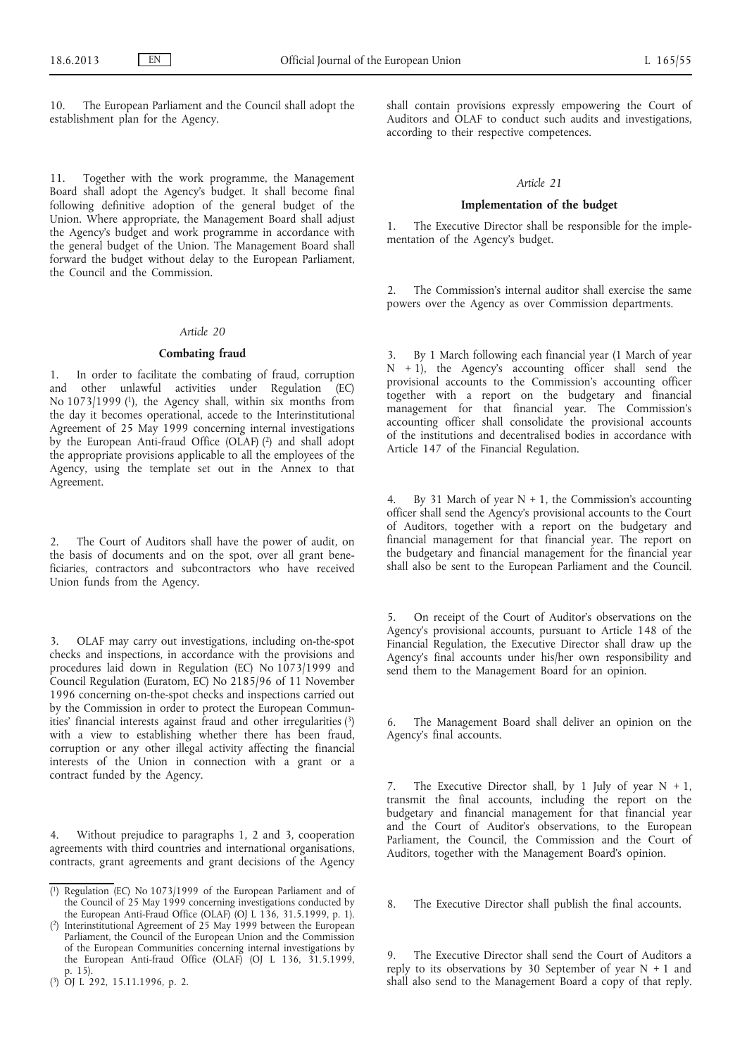10. The European Parliament and the Council shall adopt the establishment plan for the Agency.

11. Together with the work programme, the Management Board shall adopt the Agency's budget. It shall become final following definitive adoption of the general budget of the Union. Where appropriate, the Management Board shall adjust the Agency's budget and work programme in accordance with the general budget of the Union. The Management Board shall forward the budget without delay to the European Parliament, the Council and the Commission.

#### *Article 20*

## **Combating fraud**

1. In order to facilitate the combating of fraud, corruption and other unlawful activities under Regulation (EC) No 1073/1999 (1), the Agency shall, within six months from the day it becomes operational, accede to the Interinstitutional Agreement of 25 May 1999 concerning internal investigations by the European Anti-fraud Office (OLAF) (2) and shall adopt the appropriate provisions applicable to all the employees of the Agency, using the template set out in the Annex to that Agreement.

2. The Court of Auditors shall have the power of audit, on the basis of documents and on the spot, over all grant beneficiaries, contractors and subcontractors who have received Union funds from the Agency.

3. OLAF may carry out investigations, including on-the-spot checks and inspections, in accordance with the provisions and procedures laid down in Regulation (EC) No 1073/1999 and Council Regulation (Euratom, EC) No 2185/96 of 11 November 1996 concerning on-the-spot checks and inspections carried out by the Commission in order to protect the European Communities' financial interests against fraud and other irregularities (3) with a view to establishing whether there has been fraud, corruption or any other illegal activity affecting the financial interests of the Union in connection with a grant or a contract funded by the Agency.

4. Without prejudice to paragraphs 1, 2 and 3, cooperation agreements with third countries and international organisations, contracts, grant agreements and grant decisions of the Agency

( 2) Interinstitutional Agreement of 25 May 1999 between the European Parliament, the Council of the European Union and the Commission of the European Communities concerning internal investigations by the European Anti-fraud Office  $(OLAF)$  (OJ L 136, 31.5.1999, p. 15).

shall contain provisions expressly empowering the Court of Auditors and OLAF to conduct such audits and investigations, according to their respective competences.

## *Article 21*

#### **Implementation of the budget**

1. The Executive Director shall be responsible for the implementation of the Agency's budget.

2. The Commission's internal auditor shall exercise the same powers over the Agency as over Commission departments.

3. By 1 March following each financial year (1 March of year  $N + 1$ , the Agency's accounting officer shall send the provisional accounts to the Commission's accounting officer together with a report on the budgetary and financial management for that financial year. The Commission's accounting officer shall consolidate the provisional accounts of the institutions and decentralised bodies in accordance with Article 147 of the Financial Regulation.

By 31 March of year  $N + 1$ , the Commission's accounting officer shall send the Agency's provisional accounts to the Court of Auditors, together with a report on the budgetary and financial management for that financial year. The report on the budgetary and financial management for the financial year shall also be sent to the European Parliament and the Council.

5. On receipt of the Court of Auditor's observations on the Agency's provisional accounts, pursuant to Article 148 of the Financial Regulation, the Executive Director shall draw up the Agency's final accounts under his/her own responsibility and send them to the Management Board for an opinion.

The Management Board shall deliver an opinion on the Agency's final accounts.

7. The Executive Director shall, by 1 July of year  $N + 1$ , transmit the final accounts, including the report on the budgetary and financial management for that financial year and the Court of Auditor's observations, to the European Parliament, the Council, the Commission and the Court of Auditors, together with the Management Board's opinion.

8. The Executive Director shall publish the final accounts.

The Executive Director shall send the Court of Auditors a reply to its observations by 30 September of year  $N + 1$  and shall also send to the Management Board a copy of that reply.

<sup>(</sup> 1) Regulation (EC) No 1073/1999 of the European Parliament and of the Council of 25 May 1999 concerning investigations conducted by the European Anti-Fraud Office (OLAF) (OJ L 136, 31.5.1999, p. 1).

<sup>(</sup> 3) OJ L 292, 15.11.1996, p. 2.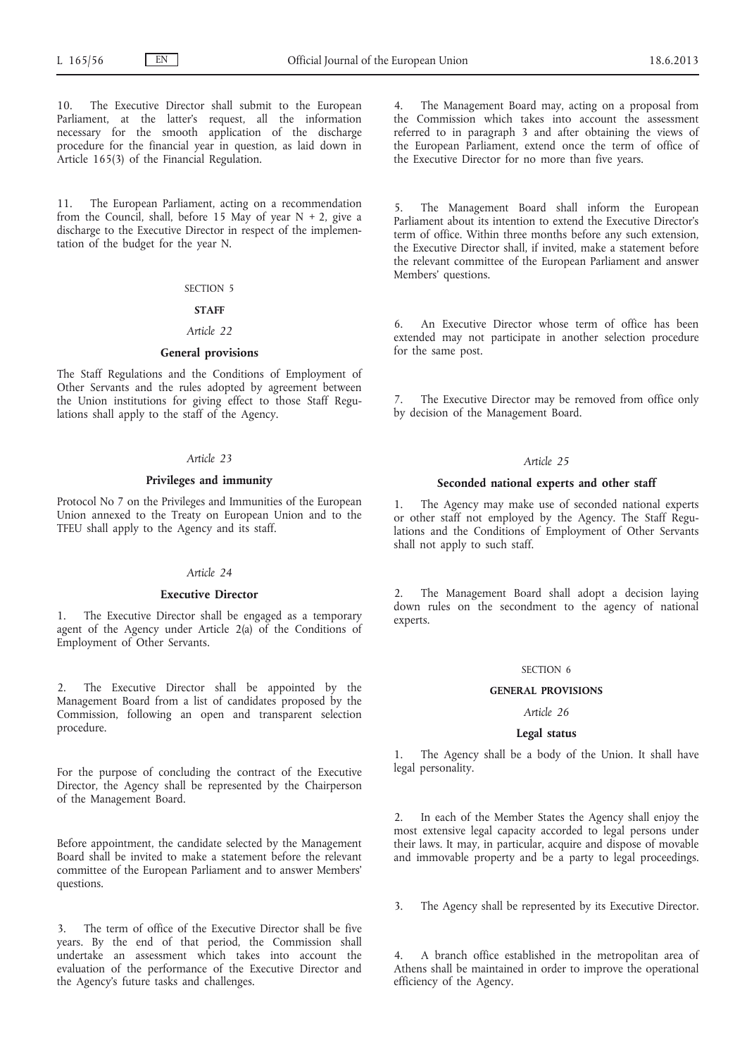10. The Executive Director shall submit to the European Parliament, at the latter's request, all the information necessary for the smooth application of the discharge procedure for the financial year in question, as laid down in Article 165(3) of the Financial Regulation.

11. The European Parliament, acting on a recommendation from the Council, shall, before 15 May of year  $N + 2$ , give a discharge to the Executive Director in respect of the implementation of the budget for the year N.

#### SECTION 5

## **STAFF**

## *Article 22*

## **General provisions**

The Staff Regulations and the Conditions of Employment of Other Servants and the rules adopted by agreement between the Union institutions for giving effect to those Staff Regulations shall apply to the staff of the Agency.

## *Article 23*

## **Privileges and immunity**

Protocol No 7 on the Privileges and Immunities of the European Union annexed to the Treaty on European Union and to the TFEU shall apply to the Agency and its staff.

#### *Article 24*

#### **Executive Director**

The Executive Director shall be engaged as a temporary agent of the Agency under Article 2(a) of the Conditions of Employment of Other Servants.

2. The Executive Director shall be appointed by the Management Board from a list of candidates proposed by the Commission, following an open and transparent selection procedure.

For the purpose of concluding the contract of the Executive Director, the Agency shall be represented by the Chairperson of the Management Board.

Before appointment, the candidate selected by the Management Board shall be invited to make a statement before the relevant committee of the European Parliament and to answer Members' questions.

3. The term of office of the Executive Director shall be five years. By the end of that period, the Commission shall undertake an assessment which takes into account the evaluation of the performance of the Executive Director and the Agency's future tasks and challenges.

4. The Management Board may, acting on a proposal from the Commission which takes into account the assessment referred to in paragraph 3 and after obtaining the views of the European Parliament, extend once the term of office of the Executive Director for no more than five years.

5. The Management Board shall inform the European Parliament about its intention to extend the Executive Director's term of office. Within three months before any such extension, the Executive Director shall, if invited, make a statement before the relevant committee of the European Parliament and answer Members' questions.

6. An Executive Director whose term of office has been extended may not participate in another selection procedure for the same post.

The Executive Director may be removed from office only by decision of the Management Board.

## *Article 25*

#### **Seconded national experts and other staff**

1. The Agency may make use of seconded national experts or other staff not employed by the Agency. The Staff Regulations and the Conditions of Employment of Other Servants shall not apply to such staff.

2. The Management Board shall adopt a decision laying down rules on the secondment to the agency of national experts.

#### SECTION 6

#### **GENERAL PROVISIONS**

## *Article 26*

## **Legal status**

1. The Agency shall be a body of the Union. It shall have legal personality.

In each of the Member States the Agency shall enjoy the most extensive legal capacity accorded to legal persons under their laws. It may, in particular, acquire and dispose of movable and immovable property and be a party to legal proceedings.

3. The Agency shall be represented by its Executive Director.

4. A branch office established in the metropolitan area of Athens shall be maintained in order to improve the operational efficiency of the Agency.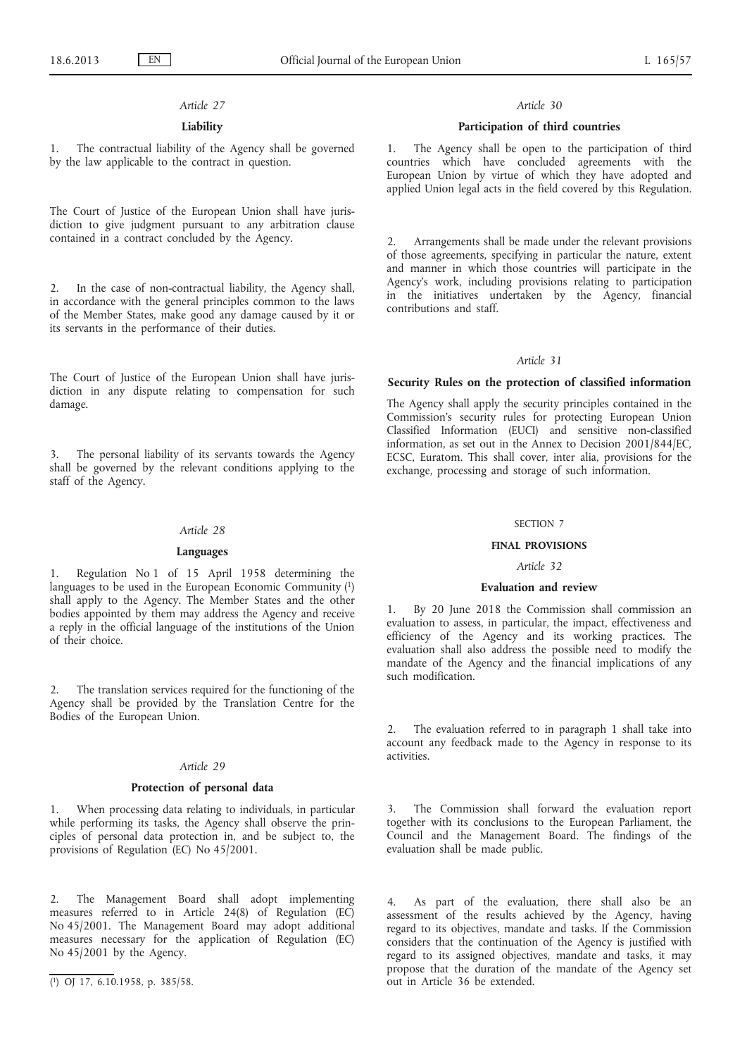## *Article 27*

## **Liability**

1. The contractual liability of the Agency shall be governed by the law applicable to the contract in question.

The Court of Justice of the European Union shall have jurisdiction to give judgment pursuant to any arbitration clause contained in a contract concluded by the Agency.

2. In the case of non-contractual liability, the Agency shall, in accordance with the general principles common to the laws of the Member States, make good any damage caused by it or its servants in the performance of their duties.

The Court of Justice of the European Union shall have jurisdiction in any dispute relating to compensation for such damage.

3. The personal liability of its servants towards the Agency shall be governed by the relevant conditions applying to the staff of the Agency.

## *Article 28*

#### **Languages**

1. Regulation No 1 of 15 April 1958 determining the languages to be used in the European Economic Community (1) shall apply to the Agency. The Member States and the other bodies appointed by them may address the Agency and receive a reply in the official language of the institutions of the Union of their choice.

2. The translation services required for the functioning of the Agency shall be provided by the Translation Centre for the Bodies of the European Union.

## *Article 29*

#### **Protection of personal data**

1. When processing data relating to individuals, in particular while performing its tasks, the Agency shall observe the principles of personal data protection in, and be subject to, the provisions of Regulation (EC) No 45/2001.

2. The Management Board shall adopt implementing measures referred to in Article 24(8) of Regulation (EC) No 45/2001. The Management Board may adopt additional measures necessary for the application of Regulation (EC) No 45/2001 by the Agency.

#### *Article 30*

#### **Participation of third countries**

1. The Agency shall be open to the participation of third countries which have concluded agreements with the European Union by virtue of which they have adopted and applied Union legal acts in the field covered by this Regulation.

2. Arrangements shall be made under the relevant provisions of those agreements, specifying in particular the nature, extent and manner in which those countries will participate in the Agency's work, including provisions relating to participation in the initiatives undertaken by the Agency, financial contributions and staff.

## *Article 31*

#### **Security Rules on the protection of classified information**

The Agency shall apply the security principles contained in the Commission's security rules for protecting European Union Classified Information (EUCI) and sensitive non-classified information, as set out in the Annex to Decision 2001/844/EC, ECSC, Euratom. This shall cover, inter alia, provisions for the exchange, processing and storage of such information.

#### SECTION 7

## **FINAL PROVISIONS**

#### *Article 32*

#### **Evaluation and review**

1. By 20 June 2018 the Commission shall commission an evaluation to assess, in particular, the impact, effectiveness and efficiency of the Agency and its working practices. The evaluation shall also address the possible need to modify the mandate of the Agency and the financial implications of any such modification.

The evaluation referred to in paragraph 1 shall take into account any feedback made to the Agency in response to its activities.

3. The Commission shall forward the evaluation report together with its conclusions to the European Parliament, the Council and the Management Board. The findings of the evaluation shall be made public.

4. As part of the evaluation, there shall also be an assessment of the results achieved by the Agency, having regard to its objectives, mandate and tasks. If the Commission considers that the continuation of the Agency is justified with regard to its assigned objectives, mandate and tasks, it may propose that the duration of the mandate of the Agency set out in Article 36 be extended.

<sup>(</sup> 1) OJ 17, 6.10.1958, p. 385/58.